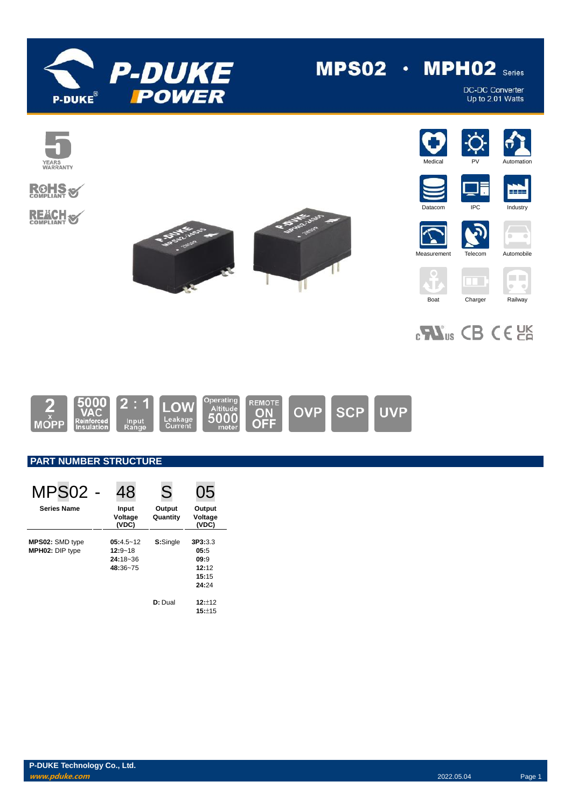

# $MPS02 \cdot MPH02$  series

DC-DC Converter<br>Up to 2.01 Watts



# **ROHS REACH S**











 $\vec{v}$ 









# $_{c}\mathbf{W}_{us}$  CB CE  $_{cm}$



### **PART NUMBER STRUCTURE**

| MPS <sub>02</sub>                         | 48                                                       | S                  | 05                                                 |
|-------------------------------------------|----------------------------------------------------------|--------------------|----------------------------------------------------|
| <b>Series Name</b>                        | Input<br>Voltage<br>(VDC)                                | Output<br>Quantity | Output<br>Voltage<br>(VDC)                         |
| MPS02: SMD type<br><b>MPH02: DIP type</b> | $05:4.5 - 12$<br>$12:9 - 18$<br>$24:18 - 36$<br>48:36~75 | S:Single           | 3P3:3.3<br>05:5<br>09:9<br>12:12<br>15:15<br>24:24 |
|                                           |                                                          | D: Dual            | $12:+12$<br>15:±15                                 |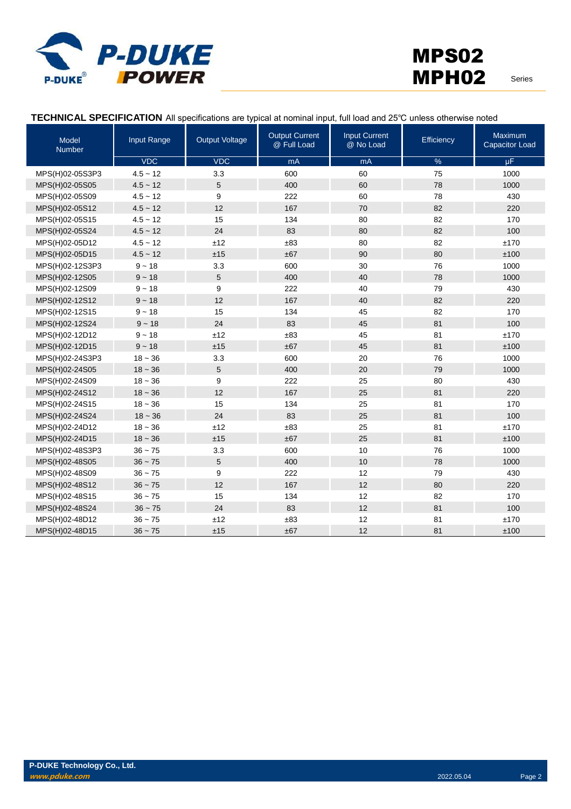

#### **TECHNICAL SPECIFICATION** All specifications are typical at nominal input, full load and 25℃ unless otherwise noted

| Model<br><b>Number</b> | Input Range | <b>Output Voltage</b> | <b>Output Current</b><br>@ Full Load | <b>Input Current</b><br>@ No Load | Efficiency    | <b>Maximum</b><br><b>Capacitor Load</b> |
|------------------------|-------------|-----------------------|--------------------------------------|-----------------------------------|---------------|-----------------------------------------|
|                        | <b>VDC</b>  | <b>VDC</b>            | mA                                   | mA                                | $\frac{9}{6}$ | $\mu$ F                                 |
| MPS(H)02-05S3P3        | $4.5 - 12$  | 3.3                   | 600                                  | 60                                | 75            | 1000                                    |
| MPS(H)02-05S05         | $4.5 - 12$  | 5                     | 400                                  | 60                                | 78            | 1000                                    |
| MPS(H)02-05S09         | $4.5 - 12$  | 9                     | 222                                  | 60                                | 78            | 430                                     |
| MPS(H)02-05S12         | $4.5 - 12$  | 12                    | 167                                  | 70                                | 82            | 220                                     |
| MPS(H)02-05S15         | $4.5 - 12$  | 15                    | 134                                  | 80                                | 82            | 170                                     |
| MPS(H)02-05S24         | $4.5 - 12$  | 24                    | 83                                   | 80                                | 82            | 100                                     |
| MPS(H)02-05D12         | $4.5 - 12$  | ±12                   | ±83                                  | 80                                | 82            | ±170                                    |
| MPS(H)02-05D15         | $4.5 - 12$  | ±15                   | ±67                                  | 90                                | 80            | ±100                                    |
| MPS(H)02-12S3P3        | $9 - 18$    | 3.3                   | 600                                  | 30                                | 76            | 1000                                    |
| MPS(H)02-12S05         | $9 - 18$    | 5                     | 400                                  | 40                                | 78            | 1000                                    |
| MPS(H)02-12S09         | $9 - 18$    | 9                     | 222                                  | 40                                | 79            | 430                                     |
| MPS(H)02-12S12         | $9 - 18$    | 12                    | 167                                  | 40                                | 82            | 220                                     |
| MPS(H)02-12S15         | $9 - 18$    | 15                    | 134                                  | 45                                | 82            | 170                                     |
| MPS(H)02-12S24         | $9 - 18$    | 24                    | 83                                   | 45                                | 81            | 100                                     |
| MPS(H)02-12D12         | $9 - 18$    | ±12                   | ±83                                  | 45                                | 81            | ±170                                    |
| MPS(H)02-12D15         | $9 - 18$    | ±15                   | ±67                                  | 45                                | 81            | ±100                                    |
| MPS(H)02-24S3P3        | $18 - 36$   | 3.3                   | 600                                  | 20                                | 76            | 1000                                    |
| MPS(H)02-24S05         | $18 - 36$   | 5                     | 400                                  | 20                                | 79            | 1000                                    |
| MPS(H)02-24S09         | $18 - 36$   | 9                     | 222                                  | 25                                | 80            | 430                                     |
| MPS(H)02-24S12         | $18 - 36$   | 12                    | 167                                  | 25                                | 81            | 220                                     |
| MPS(H)02-24S15         | $18 - 36$   | 15                    | 134                                  | 25                                | 81            | 170                                     |
| MPS(H)02-24S24         | $18 - 36$   | 24                    | 83                                   | 25                                | 81            | 100                                     |
| MPS(H)02-24D12         | $18 - 36$   | ±12                   | ±83                                  | 25                                | 81            | ±170                                    |
| MPS(H)02-24D15         | $18 - 36$   | ±15                   | ±67                                  | 25                                | 81            | ±100                                    |
| MPS(H)02-48S3P3        | $36 - 75$   | 3.3                   | 600                                  | 10                                | 76            | 1000                                    |
| MPS(H)02-48S05         | $36 - 75$   | 5                     | 400                                  | 10                                | 78            | 1000                                    |
| MPS(H)02-48S09         | $36 - 75$   | 9                     | 222                                  | 12                                | 79            | 430                                     |
| MPS(H)02-48S12         | $36 - 75$   | 12                    | 167                                  | 12                                | 80            | 220                                     |
| MPS(H)02-48S15         | $36 - 75$   | 15                    | 134                                  | 12                                | 82            | 170                                     |
| MPS(H)02-48S24         | $36 - 75$   | 24                    | 83                                   | 12                                | 81            | 100                                     |
| MPS(H)02-48D12         | $36 - 75$   | ±12                   | ±83                                  | 12                                | 81            | ±170                                    |
| MPS(H)02-48D15         | $36 - 75$   | ±15                   | ±67                                  | 12                                | 81            | ±100                                    |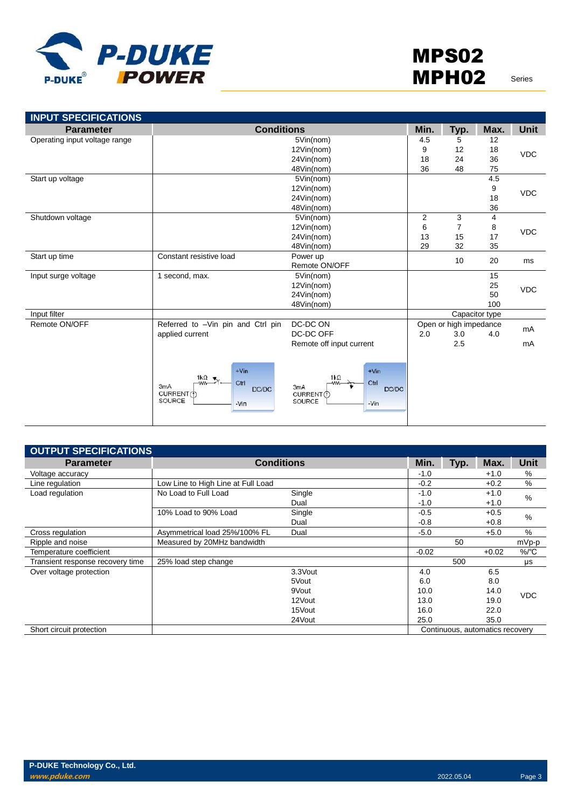

| <b>INPUT SPECIFICATIONS</b>   |                                                                                          |                                                                                              |      |                        |                |             |
|-------------------------------|------------------------------------------------------------------------------------------|----------------------------------------------------------------------------------------------|------|------------------------|----------------|-------------|
| <b>Parameter</b>              | <b>Conditions</b>                                                                        |                                                                                              | Min. | Typ.                   | Max.           | <b>Unit</b> |
| Operating input voltage range | 5Vin(nom)                                                                                |                                                                                              | 4.5  | 5                      | 12             |             |
|                               | 12Vin(nom)                                                                               |                                                                                              |      | 12                     | 18             | <b>VDC</b>  |
|                               | 24Vin(nom)                                                                               |                                                                                              |      | 24                     | 36             |             |
|                               |                                                                                          | 48Vin(nom)                                                                                   | 36   | 48                     | 75             |             |
| Start up voltage              |                                                                                          | 5Vin(nom)                                                                                    |      |                        | 4.5            |             |
|                               |                                                                                          | 12Vin(nom)                                                                                   |      |                        | 9              | VDC         |
|                               |                                                                                          | 24Vin(nom)                                                                                   |      |                        | 18             |             |
|                               |                                                                                          | 48Vin(nom)                                                                                   |      |                        | 36             |             |
| Shutdown voltage              |                                                                                          | 5Vin(nom)                                                                                    | 2    | 3                      | 4              |             |
|                               |                                                                                          | 12Vin(nom)                                                                                   | 6    | $\overline{7}$         | 8              | <b>VDC</b>  |
|                               |                                                                                          | 24Vin(nom)                                                                                   | 13   | 15                     | 17             |             |
|                               |                                                                                          | 48Vin(nom)                                                                                   | 29   | 32                     | 35             |             |
| Start up time                 | Constant resistive load                                                                  | Power up                                                                                     |      |                        | 20             |             |
|                               |                                                                                          | Remote ON/OFF                                                                                |      | 10                     |                | ms          |
| Input surge voltage           | 1 second, max.                                                                           | 5Vin(nom)                                                                                    |      |                        | 15             |             |
|                               |                                                                                          | 12Vin(nom)                                                                                   |      |                        | 25             | <b>VDC</b>  |
|                               |                                                                                          | 24Vin(nom)                                                                                   |      |                        | 50             |             |
|                               |                                                                                          | 48Vin(nom)                                                                                   |      |                        | 100            |             |
| Input filter                  |                                                                                          |                                                                                              |      |                        | Capacitor type |             |
| Remote ON/OFF                 | Referred to -Vin pin and Ctrl pin                                                        | DC-DC ON                                                                                     |      | Open or high impedance |                | mA          |
|                               | applied current                                                                          | DC-DC OFF                                                                                    | 2.0  | 3.0                    | 4.0            |             |
|                               |                                                                                          | Remote off input current                                                                     |      | 2.5                    |                | mA          |
|                               |                                                                                          |                                                                                              |      |                        |                |             |
|                               | $+V$ in<br>1 $k\Omega$<br>-ww-<br>Ctrl<br>3mA<br>DC/DC<br>CURRENT(f)<br>SOURCE<br>$-Vin$ | $+V$ in<br>$1k\Omega$<br>Ctrl<br><b>MM</b><br>3mA<br>DC/DC<br>CURRENT(1)<br>SOURCE<br>$-Vin$ |      |                        |                |             |

| <b>OUTPUT SPECIFICATIONS</b>     |                                    |         |         |      |                                 |             |
|----------------------------------|------------------------------------|---------|---------|------|---------------------------------|-------------|
| <b>Parameter</b>                 | <b>Conditions</b>                  |         | Min.    | Typ. | Max.                            | <b>Unit</b> |
| Voltage accuracy                 |                                    |         | $-1.0$  |      | $+1.0$                          | %           |
| Line regulation                  | Low Line to High Line at Full Load |         | $-0.2$  |      | $+0.2$                          | %           |
| Load regulation                  | No Load to Full Load               | Single  | $-1.0$  |      | $+1.0$                          | %           |
|                                  |                                    | Dual    | $-1.0$  |      | $+1.0$                          |             |
|                                  | 10% Load to 90% Load               | Single  | $-0.5$  |      | $+0.5$                          | %           |
|                                  |                                    | Dual    | $-0.8$  |      | $+0.8$                          |             |
| Cross regulation                 | Asymmetrical load 25%/100% FL      | Dual    | $-5.0$  |      | $+5.0$                          | %           |
| Ripple and noise                 | Measured by 20MHz bandwidth        |         |         | 50   |                                 | mVp-p       |
| Temperature coefficient          |                                    |         | $-0.02$ |      | $+0.02$                         | $\%$ /°C    |
| Transient response recovery time | 25% load step change               |         |         | 500  |                                 | μs          |
| Over voltage protection          |                                    | 3.3Vout | 4.0     |      | 6.5                             |             |
|                                  |                                    | 5Vout   | 6.0     |      | 8.0                             |             |
|                                  |                                    | 9Vout   | 10.0    |      | 14.0                            | <b>VDC</b>  |
|                                  |                                    | 12Vout  | 13.0    |      | 19.0                            |             |
|                                  |                                    | 15Vout  | 16.0    |      | 22.0                            |             |
|                                  |                                    | 24Vout  | 25.0    |      | 35.0                            |             |
| Short circuit protection         |                                    |         |         |      | Continuous, automatics recovery |             |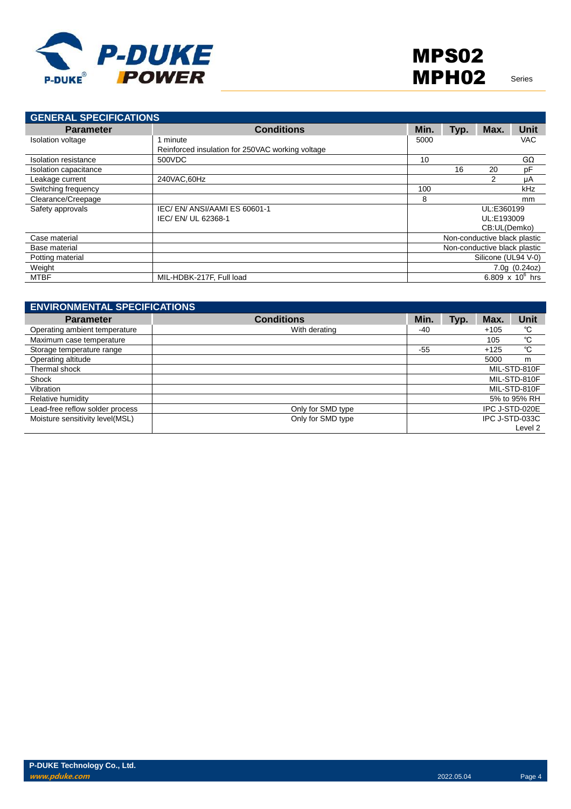

| <b>GENERAL SPECIFICATIONS</b> |                                                  |      |      |                              |                    |
|-------------------------------|--------------------------------------------------|------|------|------------------------------|--------------------|
| <b>Parameter</b>              | <b>Conditions</b>                                | Min. | Typ. | Max.                         | <b>Unit</b>        |
| <b>Isolation voltage</b>      | minute                                           | 5000 |      |                              | <b>VAC</b>         |
|                               | Reinforced insulation for 250VAC working voltage |      |      |                              |                    |
| Isolation resistance          | 500VDC                                           | 10   |      |                              | $G\Omega$          |
| Isolation capacitance         |                                                  |      | 16   | 20                           | pF                 |
| Leakage current               | 240VAC.60Hz                                      |      |      | 2                            | μA                 |
| Switching frequency           |                                                  | 100  |      |                              | kHz                |
| Clearance/Creepage            |                                                  | 8    |      |                              | mm                 |
| Safety approvals              | IEC/EN/ANSI/AAMIES 60601-1                       |      |      | UL:E360199                   |                    |
|                               | IEC/EN/UL 62368-1                                |      |      | UL:E193009                   |                    |
|                               |                                                  |      |      | CB:UL(Demko)                 |                    |
| Case material                 |                                                  |      |      | Non-conductive black plastic |                    |
| Base material                 |                                                  |      |      | Non-conductive black plastic |                    |
| Potting material              |                                                  |      |      | Silicone (UL94 V-0)          |                    |
| Weight                        |                                                  |      |      |                              | 7.0q(0.24oz)       |
| <b>MTBF</b>                   | MIL-HDBK-217F, Full load                         |      |      |                              | 6.809 x $10^6$ hrs |

| <b>ENVIRONMENTAL SPECIFICATIONS</b> |                   |              |      |                |                |
|-------------------------------------|-------------------|--------------|------|----------------|----------------|
| <b>Parameter</b>                    | <b>Conditions</b> | Min.         | Typ. | Max.           | <b>Unit</b>    |
| Operating ambient temperature       | With derating     | $-40$        |      | $+105$         | °C             |
| Maximum case temperature            |                   |              |      | 105            | °C             |
| Storage temperature range           |                   | $-55$        |      | $+125$         | °C             |
| Operating altitude                  |                   |              |      | 5000           | m              |
| Thermal shock                       |                   | MIL-STD-810F |      |                |                |
| Shock                               |                   |              |      |                | MIL-STD-810F   |
| Vibration                           |                   |              |      |                | MIL-STD-810F   |
| Relative humidity                   |                   |              |      |                | 5% to 95% RH   |
| Lead-free reflow solder process     | Only for SMD type |              |      | IPC J-STD-020E |                |
| Moisture sensitivity level(MSL)     | Only for SMD type |              |      |                | IPC J-STD-033C |
|                                     |                   |              |      |                | Level 2        |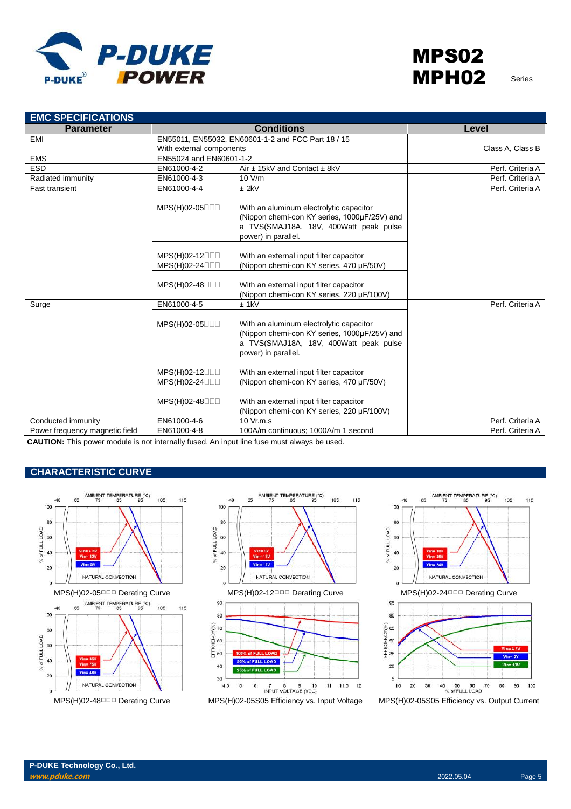

| <b>EMC SPECIFICATIONS</b>      |                               |                                                                                                                                                          |                  |
|--------------------------------|-------------------------------|----------------------------------------------------------------------------------------------------------------------------------------------------------|------------------|
| <b>Parameter</b>               |                               | <b>Conditions</b>                                                                                                                                        | Level            |
| <b>EMI</b>                     |                               | EN55011, EN55032, EN60601-1-2 and FCC Part 18 / 15                                                                                                       |                  |
|                                | With external components      |                                                                                                                                                          | Class A, Class B |
| <b>EMS</b>                     | EN55024 and EN60601-1-2       |                                                                                                                                                          |                  |
| <b>ESD</b>                     | EN61000-4-2                   | Air $\pm$ 15kV and Contact $\pm$ 8kV                                                                                                                     | Perf. Criteria A |
| Radiated immunity              | EN61000-4-3                   | 10 V/m                                                                                                                                                   | Perf. Criteria A |
| <b>Fast transient</b>          | EN61000-4-4                   | $±$ 2kV                                                                                                                                                  | Perf. Criteria A |
|                                | MPS(H)02-05□□□                | With an aluminum electrolytic capacitor<br>(Nippon chemi-con KY series, 1000µF/25V) and<br>a TVS(SMAJ18A, 18V, 400Watt peak pulse<br>power) in parallel. |                  |
|                                | MPS(H)02-12000                | With an external input filter capacitor                                                                                                                  |                  |
|                                | MPS(H)02-24000                | (Nippon chemi-con KY series, 470 µF/50V)                                                                                                                 |                  |
|                                | MPS(H)02-48000                | With an external input filter capacitor<br>(Nippon chemi-con KY series, 220 µF/100V)                                                                     |                  |
| Surge                          | EN61000-4-5                   | $±$ 1kV                                                                                                                                                  | Perf. Criteria A |
|                                | MPS(H)02-05                   | With an aluminum electrolytic capacitor<br>(Nippon chemi-con KY series, 1000µF/25V) and<br>a TVS(SMAJ18A, 18V, 400Watt peak pulse<br>power) in parallel. |                  |
|                                | MPS(H)02-12000<br>MPS(H)02-24 | With an external input filter capacitor<br>(Nippon chemi-con KY series, 470 µF/50V)                                                                      |                  |
|                                | MPS(H)02-48000                | With an external input filter capacitor<br>(Nippon chemi-con KY series, 220 µF/100V)                                                                     |                  |
| Conducted immunity             | EN61000-4-6                   | 10 Vr.m.s                                                                                                                                                | Perf. Criteria A |
| Power frequency magnetic field | EN61000-4-8                   | 100A/m continuous; 1000A/m 1 second                                                                                                                      | Perf. Criteria A |
|                                |                               |                                                                                                                                                          |                  |

**CAUTION:** This power module is not internally fused. An input line fuse must always be used.

#### **CHARACTERISTIC CURVE**







MPS(H)02-48□□□ Derating Curve MPS(H)02-05S05 Efficiency vs. Input Voltage MPS(H)02-05S05 Efficiency vs. Output Current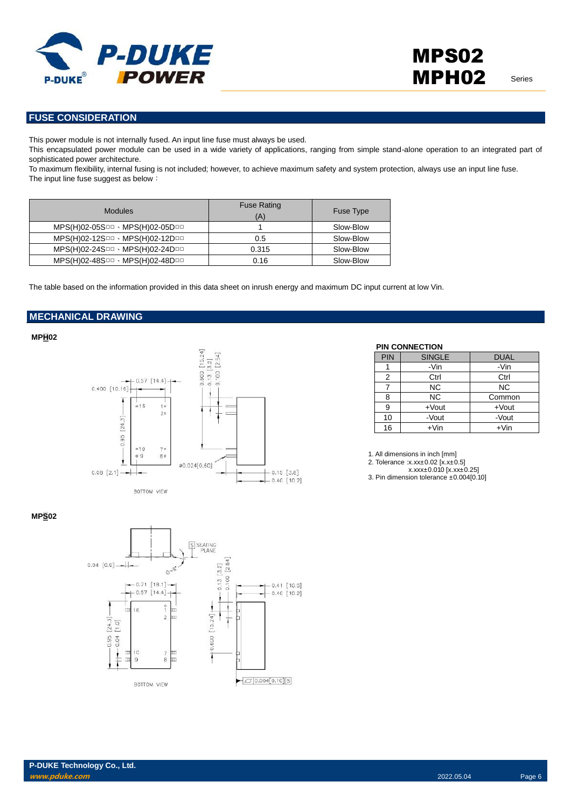

#### **FUSE CONSIDERATION**

This power module is not internally fused. An input line fuse must always be used.

This encapsulated power module can be used in a wide variety of applications, ranging from simple stand-alone operation to an integrated part of sophisticated power architecture.

To maximum flexibility, internal fusing is not included; however, to achieve maximum safety and system protection, always use an input line fuse. The input line fuse suggest as below:

| <b>Modules</b>                  | <b>Fuse Rating</b><br>(A) | Fuse Type |
|---------------------------------|---------------------------|-----------|
| MPS(H)02-05SOD · MPS(H)02-05DOD |                           | Slow-Blow |
| MPS(H)02-12SOD · MPS(H)02-12DOD | 0.5                       | Slow-Blow |
| MPS(H)02-24SOD · MPS(H)02-24DOD | 0.315                     | Slow-Blow |
| MPS(H)02-48SOD · MPS(H)02-48DOD | 0.16                      | Slow-Blow |

The table based on the information provided in this data sheet on inrush energy and maximum DC input current at low Vin.

#### **MECHANICAL DRAWING**

**MPH02**



#### **PIN CONNECTION**

| <b>PIN</b> | <b>SINGLE</b> | <b>DUAL</b> |
|------------|---------------|-------------|
|            | -Vin          | -Vin        |
| 2          | Ctrl          | Ctrl        |
|            | <b>NC</b>     | <b>NC</b>   |
| 8          | <b>NC</b>     | Common      |
| 9          | $+$ Vout      | $+$ Vout    |
| 10         | -Vout         | -Vout       |
| 16         | $+V$ in       | $+V$ in     |

1. All dimensions in inch [mm]

2. Tolerance :x.xx±0.02 [x.x±0.5]

x.xxx±0.010 [x.xx±0.25]

3. Pin dimension tolerance ±0.004[0.10]

#### **MPS02**